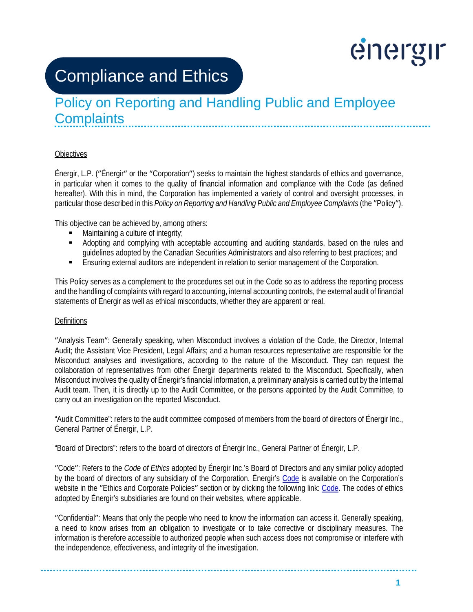# energir

## Compliance and Ethics

### Policy on Reporting and Handling Public and Employee **Complaints**

#### **Objectives**

Énergir, L.P. (ʺÉnergirʺ or the ʺCorporationʺ) seeks to maintain the highest standards of ethics and governance, in particular when it comes to the quality of financial information and compliance with the Code (as defined hereafter). With this in mind, the Corporation has implemented a variety of control and oversight processes, in particular those described in this *Policy on Reporting and Handling Public and Employee Complaints* (the "Policy").

This objective can be achieved by, among others:

- Maintaining a culture of integrity;
- Adopting and complying with acceptable accounting and auditing standards, based on the rules and guidelines adopted by the Canadian Securities Administrators and also referring to best practices; and
- Ensuring external auditors are independent in relation to senior management of the Corporation.

This Policy serves as a complement to the procedures set out in the Code so as to address the reporting process and the handling of complaints with regard to accounting, internal accounting controls, the external audit of financial statements of Énergir as well as ethical misconducts, whether they are apparent or real.

#### **Definitions**

ʺAnalysis Teamʺ: Generally speaking, when Misconduct involves a violation of the Code, the Director, Internal Audit; the Assistant Vice President, Legal Affairs; and a human resources representative are responsible for the Misconduct analyses and investigations, according to the nature of the Misconduct. They can request the collaboration of representatives from other Énergir departments related to the Misconduct. Specifically, when Misconduct involves the quality of Énergir's financial information, a preliminary analysis is carried out by the Internal Audit team. Then, it is directly up to the Audit Committee, or the persons appointed by the Audit Committee, to carry out an investigation on the reported Misconduct.

"Audit Committee": refers to the audit committee composed of members from the board of directors of Énergir Inc., General Partner of Énergir, L.P.

"Board of Directors": refers to the board of directors of Énergir Inc., General Partner of Énergir, L.P.

ʺCodeʺ: Refers to the *Code of Ethics* adopted by Énergir Inc.'s Board of Directors and any similar policy adopted by the board of directors of any subsidiary of the Corporation. Énergir's [Code](https://www.energir.com/%7E/media/Files/Corporatif/Politiques%20et%20directives/Code%20ethique%20EN.pdf?la=en) is available on the Corporation's website in the "Ethics and Corporate Policies" section or by clicking the following link[: Code.](https://www.energir.com/%7E/media/Files/Corporatif/Politiques%20et%20directives/Code%20ethique%20EN.pdf?la=en) The codes of ethics adopted by Énergir's subsidiaries are found on their websites, where applicable.

ʺConfidentialʺ: Means that only the people who need to know the information can access it. Generally speaking, a need to know arises from an obligation to investigate or to take corrective or disciplinary measures. The information is therefore accessible to authorized people when such access does not compromise or interfere with the independence, effectiveness, and integrity of the investigation.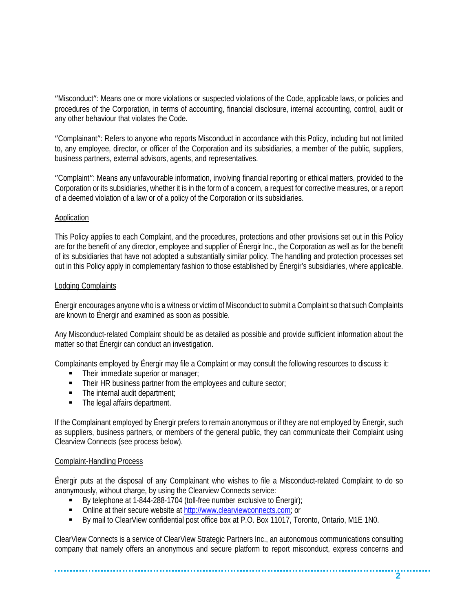"Misconduct": Means one or more violations or suspected violations of the Code, applicable laws, or policies and procedures of the Corporation, in terms of accounting, financial disclosure, internal accounting, control, audit or any other behaviour that violates the Code.

ʺComplainantʺ: Refers to anyone who reports Misconduct in accordance with this Policy, including but not limited to, any employee, director, or officer of the Corporation and its subsidiaries, a member of the public, suppliers, business partners, external advisors, agents, and representatives.

ʺComplaintʺ: Means any unfavourable information, involving financial reporting or ethical matters, provided to the Corporation or its subsidiaries, whether it is in the form of a concern, a request for corrective measures, or a report of a deemed violation of a law or of a policy of the Corporation or its subsidiaries.

#### Application

This Policy applies to each Complaint, and the procedures, protections and other provisions set out in this Policy are for the benefit of any director, employee and supplier of Énergir Inc., the Corporation as well as for the benefit of its subsidiaries that have not adopted a substantially similar policy. The handling and protection processes set out in this Policy apply in complementary fashion to those established by Énergir's subsidiaries, where applicable.

#### Lodging Complaints

Énergir encourages anyone who is a witness or victim of Misconduct to submit a Complaint so that such Complaints are known to Énergir and examined as soon as possible.

Any Misconduct-related Complaint should be as detailed as possible and provide sufficient information about the matter so that Énergir can conduct an investigation.

Complainants employed by Énergir may file a Complaint or may consult the following resources to discuss it:

- Their immediate superior or manager;
- Their HR business partner from the employees and culture sector;
- The internal audit department;
- The legal affairs department.

If the Complainant employed by Énergir prefers to remain anonymous or if they are not employed by Énergir, such as suppliers, business partners, or members of the general public, they can communicate their Complaint using Clearview Connects (see process below).

#### Complaint-Handling Process

Énergir puts at the disposal of any Complainant who wishes to file a Misconduct-related Complaint to do so anonymously, without charge, by using the Clearview Connects service:

- By telephone at 1-844-288-1704 (toll-free number exclusive to Énergir);
- Online at their secure website at [http://www.clearviewconnects.com;](http://www.clearviewconnects.com/) or

By mail to ClearView confidential post office box at P.O. Box 11017, Toronto, Ontario, M1E 1N0.

ClearView Connects is a service of ClearView Strategic Partners Inc., an autonomous communications consulting company that namely offers an anonymous and secure platform to report misconduct, express concerns and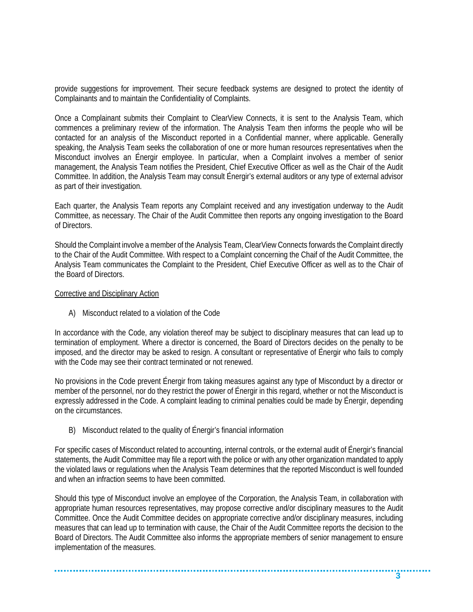provide suggestions for improvement. Their secure feedback systems are designed to protect the identity of Complainants and to maintain the Confidentiality of Complaints.

Once a Complainant submits their Complaint to ClearView Connects, it is sent to the Analysis Team, which commences a preliminary review of the information. The Analysis Team then informs the people who will be contacted for an analysis of the Misconduct reported in a Confidential manner, where applicable. Generally speaking, the Analysis Team seeks the collaboration of one or more human resources representatives when the Misconduct involves an Énergir employee. In particular, when a Complaint involves a member of senior management, the Analysis Team notifies the President, Chief Executive Officer as well as the Chair of the Audit Committee. In addition, the Analysis Team may consult Énergir's external auditors or any type of external advisor as part of their investigation.

Each quarter, the Analysis Team reports any Complaint received and any investigation underway to the Audit Committee, as necessary. The Chair of the Audit Committee then reports any ongoing investigation to the Board of Directors.

Should the Complaint involve a member of the Analysis Team, ClearView Connects forwards the Complaint directly to the Chair of the Audit Committee. With respect to a Complaint concerning the Chaif of the Audit Committee, the Analysis Team communicates the Complaint to the President, Chief Executive Officer as well as to the Chair of the Board of Directors.

#### Corrective and Disciplinary Action

A) Misconduct related to a violation of the Code

In accordance with the Code, any violation thereof may be subject to disciplinary measures that can lead up to termination of employment. Where a director is concerned, the Board of Directors decides on the penalty to be imposed, and the director may be asked to resign. A consultant or representative of Énergir who fails to comply with the Code may see their contract terminated or not renewed.

No provisions in the Code prevent Énergir from taking measures against any type of Misconduct by a director or member of the personnel, nor do they restrict the power of Énergir in this regard, whether or not the Misconduct is expressly addressed in the Code. A complaint leading to criminal penalties could be made by Énergir, depending on the circumstances.

B) Misconduct related to the quality of Énergir's financial information

For specific cases of Misconduct related to accounting, internal controls, or the external audit of Énergir's financial statements, the Audit Committee may file a report with the police or with any other organization mandated to apply the violated laws or regulations when the Analysis Team determines that the reported Misconduct is well founded and when an infraction seems to have been committed.

Should this type of Misconduct involve an employee of the Corporation, the Analysis Team, in collaboration with appropriate human resources representatives, may propose corrective and/or disciplinary measures to the Audit Committee. Once the Audit Committee decides on appropriate corrective and/or disciplinary measures, including measures that can lead up to termination with cause, the Chair of the Audit Committee reports the decision to the Board of Directors. The Audit Committee also informs the appropriate members of senior management to ensure implementation of the measures.